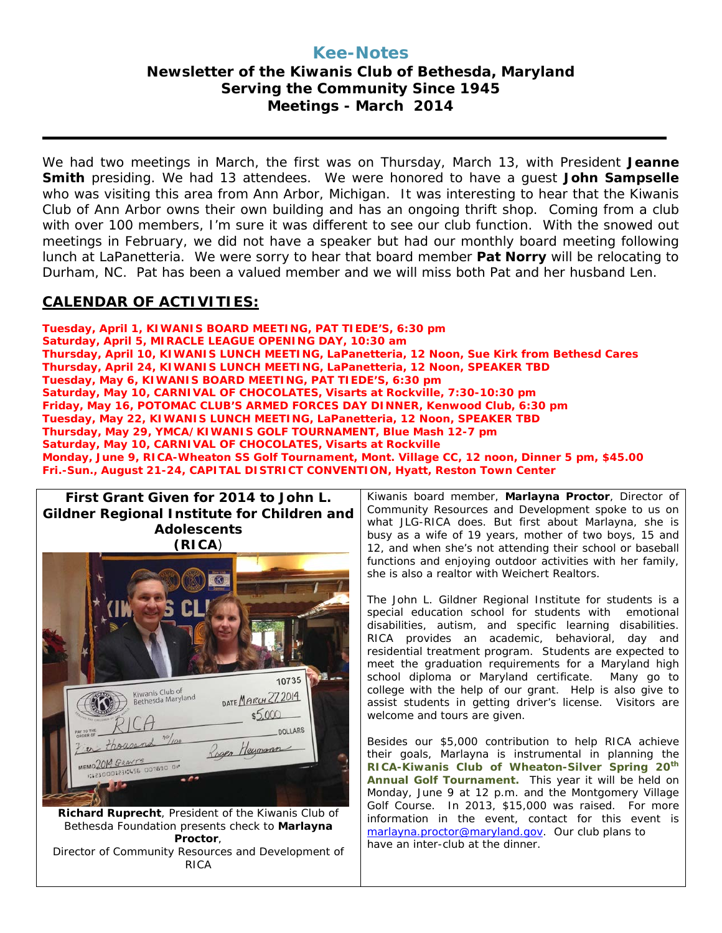### **Kee-Notes Newsletter of the Kiwanis Club of Bethesda, Maryland Serving the Community Since 1945 Meetings - March 2014**

We had two meetings in March, the first was on Thursday, March 13, with President **Jeanne Smith** presiding. We had 13 attendees. We were honored to have a guest **John Sampselle** who was visiting this area from Ann Arbor, Michigan. It was interesting to hear that the Kiwanis Club of Ann Arbor owns their own building and has an ongoing thrift shop. Coming from a club with over 100 members, I'm sure it was different to see our club function. With the snowed out meetings in February, we did not have a speaker but had our monthly board meeting following lunch at LaPanetteria. We were sorry to hear that board member **Pat Norry** will be relocating to Durham, NC. Pat has been a valued member and we will miss both Pat and her husband Len.

#### **CALENDAR OF ACTIVITIES:**

**Tuesday, April 1, KIWANIS BOARD MEETING, PAT TIEDE'S, 6:30 pm Saturday, April 5, MIRACLE LEAGUE OPENING DAY, 10:30 am Thursday, April 10, KIWANIS LUNCH MEETING, LaPanetteria, 12 Noon, Sue Kirk from Bethesd Cares Thursday, April 24, KIWANIS LUNCH MEETING, LaPanetteria, 12 Noon, SPEAKER TBD Tuesday, May 6, KIWANIS BOARD MEETING, PAT TIEDE'S, 6:30 pm Saturday, May 10, CARNIVAL OF CHOCOLATES, Visarts at Rockville, 7:30-10:30 pm Friday, May 16, POTOMAC CLUB'S ARMED FORCES DAY DINNER, Kenwood Club, 6:30 pm Tuesday, May 22, KIWANIS LUNCH MEETING, LaPanetteria, 12 Noon, SPEAKER TBD Thursday, May 29, YMCA/KIWANIS GOLF TOURNAMENT, Blue Mash 12-7 pm Saturday, May 10, CARNIVAL OF CHOCOLATES, Visarts at Rockville Monday, June 9, RICA-Wheaton SS Golf Tournament, Mont. Village CC, 12 noon, Dinner 5 pm, \$45.00 Fri.-Sun., August 21-24, CAPITAL DISTRICT CONVENTION, Hyatt, Reston Town Center**